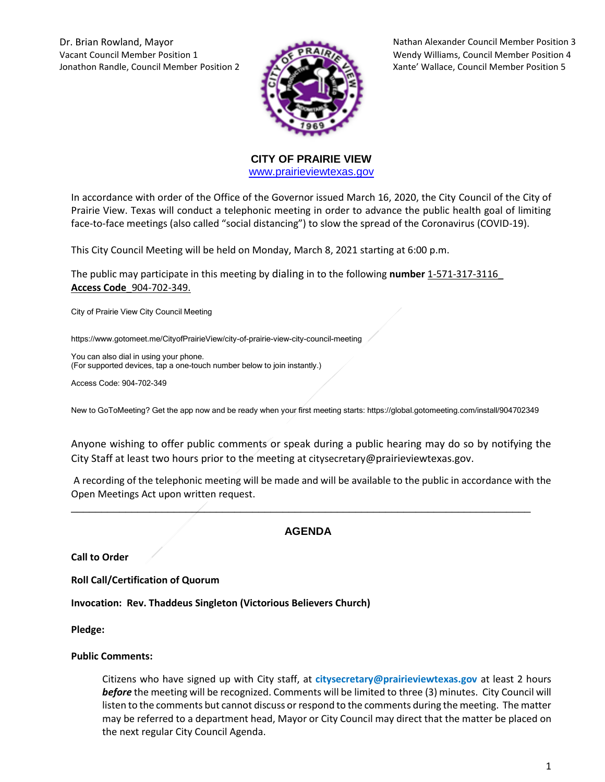Dr. Brian Rowland, Mayor Nathan Alexander Council Member Position 3 Vacant Council Member Position 1 Wendy Williams, Council Member Position 4 Jonathon Randle, Council Member Position 2 Xante' Wallace, Council Member Position 5



**CITY OF PRAIRIE VIEW**  [www.prairieviewtexas.gov](http://www.prairieviewtexas.gov/)

In accordance with order of the Office of the Governor issued March 16, 2020, the City Council of the City of Prairie View. Texas will conduct a telephonic meeting in order to advance the public health goal of limiting face-to-face meetings (also called "social distancing") to slow the spread of the Coronavirus (COVID-19).

This City Council Meeting will be held on Monday, March 8, 2021 starting at 6:00 p.m.

The public may participate in this meeting by dialing in to the following **number** 1-571-317-3116\_ **Access Code**\_904-702-349.

City of Prairie View City Council Meeting

https://www.gotomeet.me/CityofPrairieView/city-of-prairie-view-city-council-meeting

You can also dial in using your phone. (For supported devices, tap a one-touch number below to join instantly.)

Access Code: 904-702-349

New to GoToMeeting? Get the app now and be ready when your first meeting starts: https://global.gotomeeting.com/install/904702349

Anyone wishing to offer public comments or speak during a public hearing may do so by notifying the City Staff at least two hours prior to the meeting at citysecretary@prairieviewtexas.gov.

A recording of the telephonic meeting will be made and will be available to the public in accordance with the Open Meetings Act upon written request.

# **AGENDA**

\_\_\_\_\_\_\_\_\_\_\_\_\_\_\_\_\_\_\_\_\_\_\_\_\_\_\_\_\_\_\_\_\_\_\_\_\_\_\_\_\_\_\_\_\_\_\_\_\_\_\_\_\_\_\_\_\_\_\_\_\_\_\_\_\_\_\_\_\_\_\_\_\_\_\_\_

**Call to Order**

**Roll Call/Certification of Quorum**

**Invocation: Rev. Thaddeus Singleton (Victorious Believers Church)**

**Pledge:** 

#### **Public Comments:**

Citizens who have signed up with City staff, at **citysecretary@prairieviewtexas.gov** at least 2 hours *before* the meeting will be recognized. Comments will be limited to three (3) minutes. City Council will listen to the comments but cannot discuss or respond to the comments during the meeting. The matter may be referred to a department head, Mayor or City Council may direct that the matter be placed on the next regular City Council Agenda.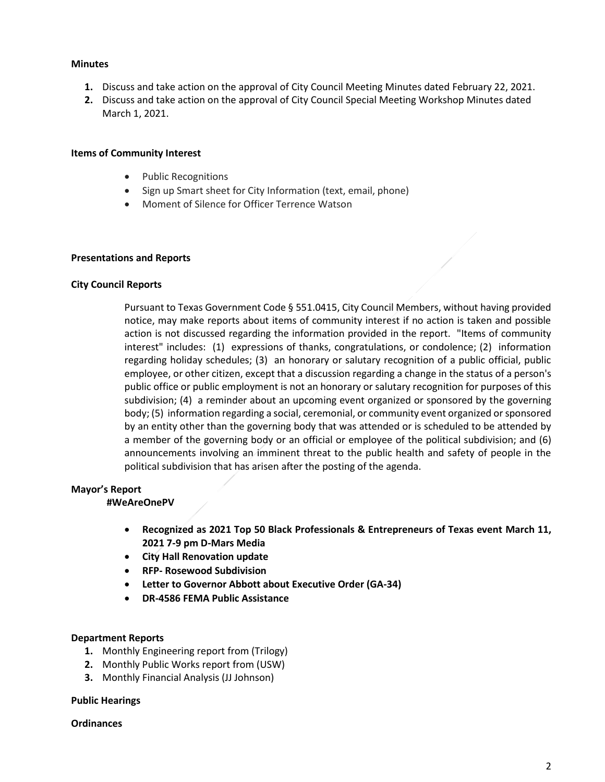### **Minutes**

- **1.** Discuss and take action on the approval of City Council Meeting Minutes dated February 22, 2021.
- **2.** Discuss and take action on the approval of City Council Special Meeting Workshop Minutes dated March 1, 2021.

### **Items of Community Interest**

- Public Recognitions
- Sign up Smart sheet for City Information (text, email, phone)
- Moment of Silence for Officer Terrence Watson

### **Presentations and Reports**

### **City Council Reports**

Pursuant to Texas Government Code § 551.0415, City Council Members, without having provided notice, may make reports about items of community interest if no action is taken and possible action is not discussed regarding the information provided in the report. "Items of community interest" includes: (1) expressions of thanks, congratulations, or condolence; (2) information regarding holiday schedules; (3) an honorary or salutary recognition of a public official, public employee, or other citizen, except that a discussion regarding a change in the status of a person's public office or public employment is not an honorary or salutary recognition for purposes of this subdivision; (4) a reminder about an upcoming event organized or sponsored by the governing body; (5) information regarding a social, ceremonial, or community event organized or sponsored by an entity other than the governing body that was attended or is scheduled to be attended by a member of the governing body or an official or employee of the political subdivision; and (6) announcements involving an imminent threat to the public health and safety of people in the political subdivision that has arisen after the posting of the agenda.

# **Mayor's Report**

#### **#WeAreOnePV**

- **Recognized as 2021 Top 50 Black Professionals & Entrepreneurs of Texas event March 11, 2021 7-9 pm D-Mars Media**
- **City Hall Renovation update**
- **RFP- Rosewood Subdivision**
- **Letter to Governor Abbott about Executive Order (GA-34)**
- **DR-4586 FEMA Public Assistance**

#### **Department Reports**

- **1.** Monthly Engineering report from (Trilogy)
- **2.** Monthly Public Works report from (USW)
- **3.** Monthly Financial Analysis (JJ Johnson)

#### **Public Hearings**

#### **Ordinances**